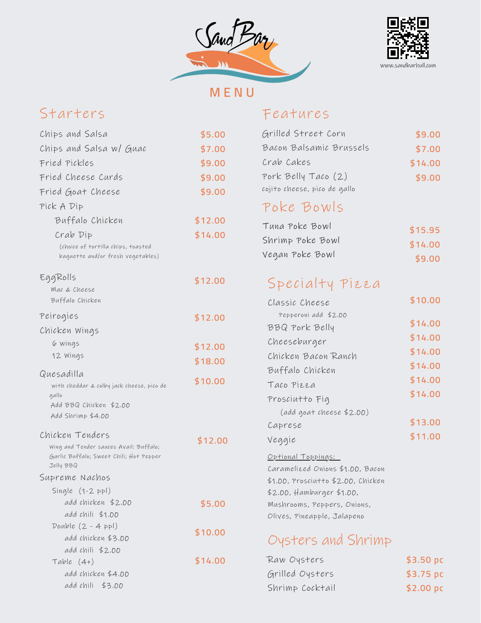



**M E N U**

# Starters

### Features

| Chips and Salsa                                                                                                   | \$5.00  |
|-------------------------------------------------------------------------------------------------------------------|---------|
| Chips and Salsa w/ Guac                                                                                           | \$7.00  |
| Fried Pickles                                                                                                     | \$9.00  |
| Fried Cheese Curds                                                                                                | \$9.00  |
| Fried Goat Cheese                                                                                                 | \$9.00  |
| Pick A Dip                                                                                                        |         |
| Buffalo Chicken                                                                                                   | \$12.00 |
|                                                                                                                   | \$14.00 |
| Crab Dip<br>(choice of tortilla chips, toasted<br>baguette and/or fresh vegetables)                               |         |
| EggRolls<br>Mac & Cheese<br>Buffalo Chicken                                                                       | \$12.00 |
| Peirogies                                                                                                         | \$12.00 |
| Chicken Wings                                                                                                     |         |
| 6 wings                                                                                                           | \$12.00 |
| 12 Wings                                                                                                          | \$18.00 |
| Quesadilla                                                                                                        |         |
| with cheddar & colby jack cheese, pico de                                                                         | \$10.00 |
| gallo<br>Add BBQ Chicken \$2.00                                                                                   |         |
| Add Shrimp \$4.00                                                                                                 |         |
|                                                                                                                   |         |
| Chicken Tenders<br>Wing and Tender sauces Avail: Buffalo;<br>Garlic Buffalo; Sweet Chili; Hot Pepper<br>Jelly BBQ | \$12.00 |
| Supreme Nachos                                                                                                    |         |
| Single $(1-2$ ppl)                                                                                                |         |
| add chicken \$2.00                                                                                                | \$5.00  |
| add chili \$1.00                                                                                                  |         |
| Double $(2 - 4$ ppl)<br>add chicken \$3.00                                                                        | \$10.00 |
| add chili \$2.00                                                                                                  |         |
| Table $(4+)$                                                                                                      | \$14.00 |
| add chicken \$4.00                                                                                                |         |
| add chili \$3.00                                                                                                  |         |

| Grilled Street Corn                | \$9.00  |  |
|------------------------------------|---------|--|
| Bacon Balsamic Brussels            | \$7.00  |  |
| Crab Cakes                         | \$14.00 |  |
| Pork Belly Taco (2)                | \$9.00  |  |
| cojito cheese, pico de gallo       |         |  |
| Poke Bowls                         |         |  |
| Tuna Poke Bowl                     | \$15.95 |  |
| Shrimp Poke Bowl                   | \$14.00 |  |
| Vegan Poke Bowl                    | \$9.00  |  |
| Specialty Pizza                    |         |  |
| Classic Cheese                     | \$10.00 |  |
| Pepperoni add \$2.00               |         |  |
| BBQ Pork Belly                     | \$14.00 |  |
| Cheeseburger                       | \$14.00 |  |
| Chicken Bacon Ranch                | \$14.00 |  |
| Buffalo Chicken                    | \$14.00 |  |
| Taco Pizza                         | \$14.00 |  |
| Prosciutto Fig                     | \$14.00 |  |
| (add goat cheese \$2.00)           |         |  |
| Caprese                            | \$13.00 |  |
| Veggie                             | \$11.00 |  |
| <u> Optional Toppings:</u>         |         |  |
| Caramelized Onions \$1.00, Bacon   |         |  |
| \$1.00, Prosciutto \$2.00, Chicken |         |  |
| \$2.00, Hamburger \$1.00,          |         |  |
| Mushrooms, Peppers, Onions,        |         |  |
| Olives, Pineapple, Jalapeno        |         |  |
| Oysters and Shrimp                 |         |  |

#### Raw Oysters Grilled Oysters **\$3.50 pc \$3.75 pc**

**\$2.00 pc**

Shrimp Cocktail